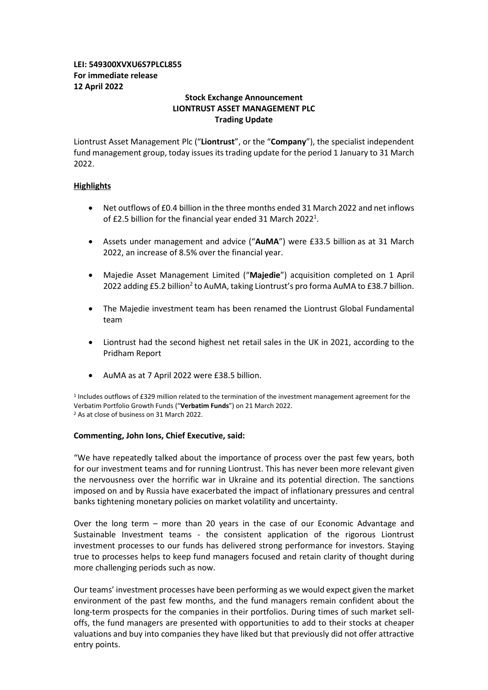# **LEI: 549300XVXU6S7PLCL855 For immediate release 12 April 2022**

# **Stock Exchange Announcement LIONTRUST ASSET MANAGEMENT PLC Trading Update**

Liontrust Asset Management Plc ("**Liontrust**", or the "**Company**"), the specialist independent fund management group, today issues its trading update for the period 1 January to 31 March 2022.

# **Highlights**

- Net outflows of £0.4 billion in the three months ended 31 March 2022 and net inflows of £2.5 billion for the financial year ended 31 March 2022<sup>1</sup>.
- Assets under management and advice ("**AuMA**") were £33.5 billion as at 31 March 2022, an increase of 8.5% over the financial year.
- Majedie Asset Management Limited ("**Majedie**") acquisition completed on 1 April 2022 adding £5.2 billion<sup>2</sup> to AuMA, taking Liontrust's pro forma AuMA to £38.7 billion.
- The Majedie investment team has been renamed the Liontrust Global Fundamental team
- Liontrust had the second highest net retail sales in the UK in 2021, according to the Pridham Report
- AuMA as at 7 April 2022 were £38.5 billion.

<sup>1</sup> Includes outflows of £329 million related to the termination of the investment management agreement for the Verbatim Portfolio Growth Funds ("**Verbatim Funds**") on 21 March 2022. <sup>2</sup> As at close of business on 31 March 2022.

## **Commenting, John Ions, Chief Executive, said:**

"We have repeatedly talked about the importance of process over the past few years, both for our investment teams and for running Liontrust. This has never been more relevant given the nervousness over the horrific war in Ukraine and its potential direction. The sanctions imposed on and by Russia have exacerbated the impact of inflationary pressures and central banks tightening monetary policies on market volatility and uncertainty.

Over the long term – more than 20 years in the case of our Economic Advantage and Sustainable Investment teams - the consistent application of the rigorous Liontrust investment processes to our funds has delivered strong performance for investors. Staying true to processes helps to keep fund managers focused and retain clarity of thought during more challenging periods such as now.

Our teams' investment processes have been performing as we would expect given the market environment of the past few months, and the fund managers remain confident about the long-term prospects for the companies in their portfolios. During times of such market selloffs, the fund managers are presented with opportunities to add to their stocks at cheaper valuations and buy into companies they have liked but that previously did not offer attractive entry points.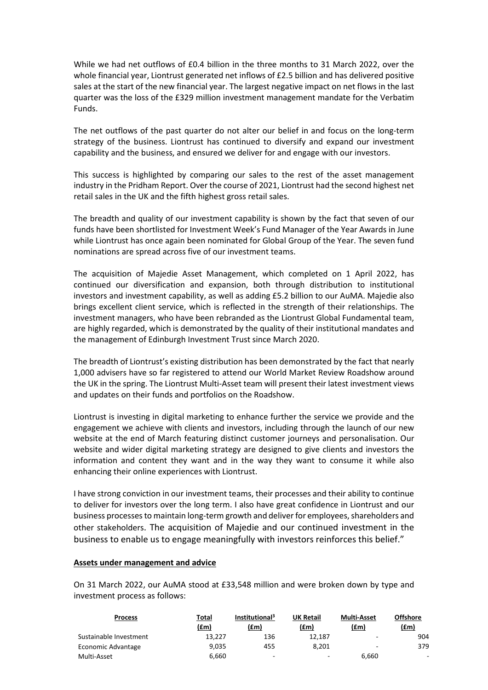While we had net outflows of £0.4 billion in the three months to 31 March 2022, over the whole financial year, Liontrust generated net inflows of £2.5 billion and has delivered positive sales at the start of the new financial year. The largest negative impact on net flows in the last quarter was the loss of the £329 million investment management mandate for the Verbatim Funds.

The net outflows of the past quarter do not alter our belief in and focus on the long-term strategy of the business. Liontrust has continued to diversify and expand our investment capability and the business, and ensured we deliver for and engage with our investors.

This success is highlighted by comparing our sales to the rest of the asset management industry in the Pridham Report. Over the course of 2021, Liontrust had the second highest net retail sales in the UK and the fifth highest gross retail sales.

The breadth and quality of our investment capability is shown by the fact that seven of our funds have been shortlisted for Investment Week's Fund Manager of the Year Awards in June while Liontrust has once again been nominated for Global Group of the Year. The seven fund nominations are spread across five of our investment teams.

The acquisition of Majedie Asset Management, which completed on 1 April 2022, has continued our diversification and expansion, both through distribution to institutional investors and investment capability, as well as adding £5.2 billion to our AuMA. Majedie also brings excellent client service, which is reflected in the strength of their relationships. The investment managers, who have been rebranded as the Liontrust Global Fundamental team, are highly regarded, which is demonstrated by the quality of their institutional mandates and the management of Edinburgh Investment Trust since March 2020.

The breadth of Liontrust's existing distribution has been demonstrated by the fact that nearly 1,000 advisers have so far registered to attend our World Market Review Roadshow around the UK in the spring. The Liontrust Multi-Asset team will present their latest investment views and updates on their funds and portfolios on the Roadshow.

Liontrust is investing in digital marketing to enhance further the service we provide and the engagement we achieve with clients and investors, including through the launch of our new website at the end of March featuring distinct customer journeys and personalisation. Our website and wider digital marketing strategy are designed to give clients and investors the information and content they want and in the way they want to consume it while also enhancing their online experiences with Liontrust.

I have strong conviction in our investment teams, their processes and their ability to continue to deliver for investors over the long term. I also have great confidence in Liontrust and our business processes to maintain long-term growth and deliver for employees, shareholders and other stakeholders. The acquisition of Majedie and our continued investment in the business to enable us to engage meaningfully with investors reinforces this belief."

## **Assets under management and advice**

On 31 March 2022, our AuMA stood at £33,548 million and were broken down by type and investment process as follows:

| <b>Process</b>         | Total  | Institutional <sup>3</sup> | <b>UK Retail</b> | <b>Multi-Asset</b>       | <b>Offshore</b> |
|------------------------|--------|----------------------------|------------------|--------------------------|-----------------|
|                        | (fem)  | (£m)                       | (£m)             | (£m)                     | (fm)            |
| Sustainable Investment | 13.227 | 136                        | 12.187           | ۰                        | 904             |
| Economic Advantage     | 9.035  | 455                        | 8.201            | $\overline{\phantom{a}}$ | 379             |
| Multi-Asset            | 6.660  | $\overline{\phantom{a}}$   | ۰                | 6.660                    |                 |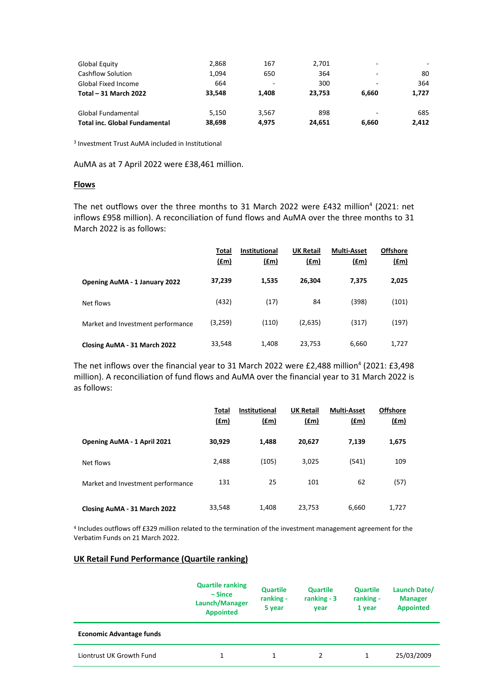| <b>Global Equity</b>                 | 2,868  | 167   | 2,701  | -     |       |
|--------------------------------------|--------|-------|--------|-------|-------|
| Cashflow Solution                    | 1,094  | 650   | 364    | -     | 80    |
| Global Fixed Income                  | 664    | ۰     | 300    | -     | 364   |
| Total - 31 March 2022                | 33.548 | 1.408 | 23.753 | 6.660 | 1,727 |
| Global Fundamental                   | 5.150  | 3.567 | 898    | -     | 685   |
| <b>Total inc. Global Fundamental</b> | 38.698 | 4.975 | 24.651 | 6.660 | 2,412 |

<sup>3</sup> Investment Trust AuMA included in Institutional

AuMA as at 7 April 2022 were £38,461 million.

# **Flows**

The net outflows over the three months to 31 March 2022 were £432 million<sup>4</sup> (2021: net inflows £958 million). A reconciliation of fund flows and AuMA over the three months to 31 March 2022 is as follows:

|                                      | <b>Total</b><br>(f <sub>fm</sub> ) | <b>Institutional</b><br>(f.m) | <b>UK Retail</b><br>(f.m) | <b>Multi-Asset</b><br>(f.m) | <b>Offshore</b><br><u>(£m)</u> |
|--------------------------------------|------------------------------------|-------------------------------|---------------------------|-----------------------------|--------------------------------|
| <b>Opening AuMA - 1 January 2022</b> | 37,239                             | 1,535                         | 26,304                    | 7,375                       | 2,025                          |
| Net flows                            | (432)                              | (17)                          | 84                        | (398)                       | (101)                          |
| Market and Investment performance    | (3,259)                            | (110)                         | (2,635)                   | (317)                       | (197)                          |
| Closing AuMA - 31 March 2022         | 33,548                             | 1,408                         | 23,753                    | 6,660                       | 1,727                          |

The net inflows over the financial year to 31 March 2022 were £2,488 million<sup>4</sup> (2021: £3,498 million). A reconciliation of fund flows and AuMA over the financial year to 31 March 2022 is as follows:

|                                   | Total<br>f(m) | <b>Institutional</b><br>f(m) | <b>UK Retail</b><br>f(m) | <b>Multi-Asset</b><br>f(m) | <b>Offshore</b><br>$(\text{fm})$ |
|-----------------------------------|---------------|------------------------------|--------------------------|----------------------------|----------------------------------|
| Opening AuMA - 1 April 2021       | 30,929        | 1,488                        | 20,627                   | 7,139                      | 1,675                            |
| Net flows                         | 2,488         | (105)                        | 3,025                    | (541)                      | 109                              |
| Market and Investment performance | 131           | 25                           | 101                      | 62                         | (57)                             |
| Closing AuMA - 31 March 2022      | 33,548        | 1,408                        | 23,753                   | 6,660                      | 1,727                            |

<sup>4</sup> Includes outflows off £329 million related to the termination of the investment management agreement for the Verbatim Funds on 21 March 2022.

# **UK Retail Fund Performance (Quartile ranking)**

|                                 | <b>Quartile ranking</b><br>$-Since$<br>Launch/Manager<br><b>Appointed</b> | Quartile<br>ranking -<br>5 year | <b>Quartile</b><br>ranking $-3$<br>year | <b>Quartile</b><br>ranking -<br>1 year | Launch Date/<br><b>Manager</b><br><b>Appointed</b> |
|---------------------------------|---------------------------------------------------------------------------|---------------------------------|-----------------------------------------|----------------------------------------|----------------------------------------------------|
| <b>Economic Advantage funds</b> |                                                                           |                                 |                                         |                                        |                                                    |
| Liontrust UK Growth Fund        | 1                                                                         |                                 |                                         | 1.                                     | 25/03/2009                                         |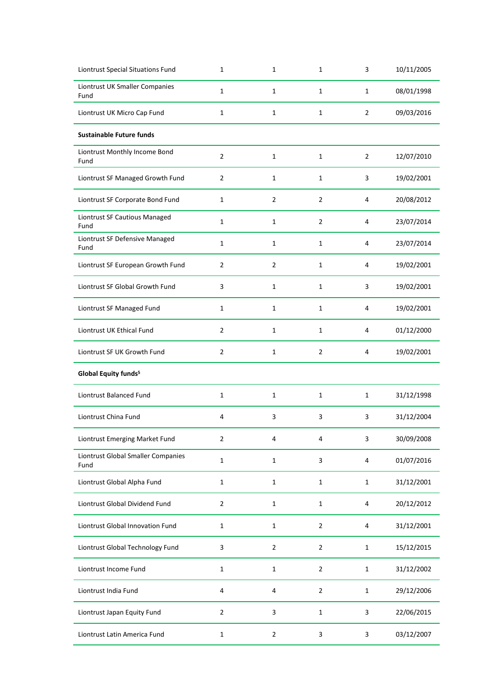| <b>Liontrust Special Situations Fund</b>   | $\mathbf{1}$   | 1              | 1              | 3              | 10/11/2005 |
|--------------------------------------------|----------------|----------------|----------------|----------------|------------|
| Liontrust UK Smaller Companies<br>Fund     | $\mathbf{1}$   | 1              | $\mathbf{1}$   | 1              | 08/01/1998 |
| Liontrust UK Micro Cap Fund                | $\mathbf{1}$   | $\mathbf{1}$   | $\mathbf{1}$   | $\overline{2}$ | 09/03/2016 |
| <b>Sustainable Future funds</b>            |                |                |                |                |            |
| Liontrust Monthly Income Bond<br>Fund      | $\overline{2}$ | $\mathbf{1}$   | 1              | $\overline{2}$ | 12/07/2010 |
| Liontrust SF Managed Growth Fund           | 2              | 1              | 1              | 3              | 19/02/2001 |
| Liontrust SF Corporate Bond Fund           | $\mathbf{1}$   | $\overline{2}$ | $\overline{2}$ | 4              | 20/08/2012 |
| Liontrust SF Cautious Managed<br>Fund      | $\mathbf{1}$   | 1              | $\overline{2}$ | 4              | 23/07/2014 |
| Liontrust SF Defensive Managed<br>Fund     | $\mathbf{1}$   | 1              | 1              | 4              | 23/07/2014 |
| Liontrust SF European Growth Fund          | $\overline{2}$ | $\overline{2}$ | $\mathbf{1}$   | 4              | 19/02/2001 |
| Liontrust SF Global Growth Fund            | 3              | 1              | 1              | 3              | 19/02/2001 |
| Liontrust SF Managed Fund                  | $\mathbf{1}$   | 1              | 1              | 4              | 19/02/2001 |
| Liontrust UK Ethical Fund                  | $\overline{2}$ | 1              | 1              | 4              | 01/12/2000 |
| Liontrust SF UK Growth Fund                | $\mathbf{2}$   | 1              | $\overline{2}$ | 4              | 19/02/2001 |
| Global Equity funds <sup>5</sup>           |                |                |                |                |            |
| Liontrust Balanced Fund                    | $\mathbf{1}$   | $\mathbf{1}$   | $\mathbf{1}$   | $\mathbf{1}$   | 31/12/1998 |
| Liontrust China Fund                       | 4              | 3              | 3              | 3              | 31/12/2004 |
|                                            |                |                |                |                |            |
| Liontrust Emerging Market Fund             | $\overline{2}$ | 4              | 4              | 3              | 30/09/2008 |
| Liontrust Global Smaller Companies<br>Fund | $\mathbf 1$    | $\mathbf{1}$   | 3              | 4              | 01/07/2016 |
| Liontrust Global Alpha Fund                | $\mathbf 1$    | $\mathbf{1}$   | $\mathbf 1$    | $\mathbf{1}$   | 31/12/2001 |
| Liontrust Global Dividend Fund             | $\overline{2}$ | $\mathbf{1}$   | $\mathbf{1}$   | 4              | 20/12/2012 |
| Liontrust Global Innovation Fund           | $\mathbf{1}$   | $\mathbf{1}$   | $\overline{2}$ | 4              | 31/12/2001 |
| Liontrust Global Technology Fund           | 3              | $\overline{2}$ | $\overline{2}$ | $\mathbf{1}$   | 15/12/2015 |
| Liontrust Income Fund                      | $\mathbf 1$    | $\mathbf{1}$   | $\overline{2}$ | $\mathbf{1}$   | 31/12/2002 |
| Liontrust India Fund                       | 4              | 4              | $\overline{2}$ | $\mathbf{1}$   | 29/12/2006 |
| Liontrust Japan Equity Fund                | $\overline{2}$ | 3              | $\mathbf 1$    | 3              | 22/06/2015 |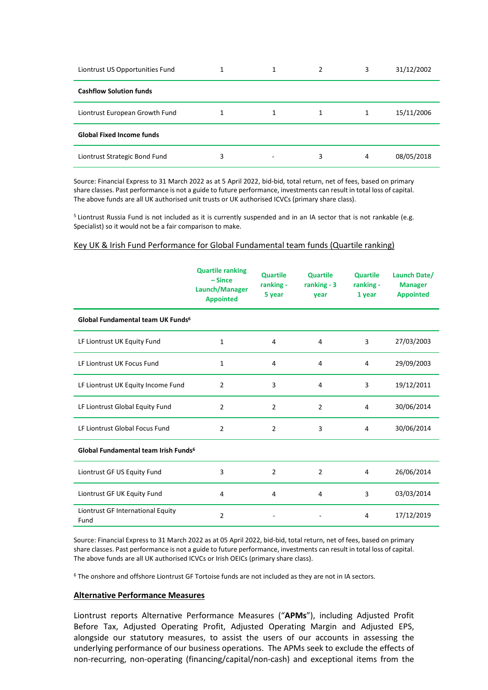| Liontrust US Opportunities Fund  |   | 1 | 2 | 3 | 31/12/2002 |
|----------------------------------|---|---|---|---|------------|
| <b>Cashflow Solution funds</b>   |   |   |   |   |            |
| Liontrust European Growth Fund   |   | 1 | 1 | 1 | 15/11/2006 |
| <b>Global Fixed Income funds</b> |   |   |   |   |            |
| Liontrust Strategic Bond Fund    | 3 | - | 3 | 4 | 08/05/2018 |

Source: Financial Express to 31 March 2022 as at 5 April 2022, bid-bid, total return, net of fees, based on primary share classes. Past performance is not a guide to future performance, investments can result in total loss of capital. The above funds are all UK authorised unit trusts or UK authorised ICVCs (primary share class).

<sup>5</sup> Liontrust Russia Fund is not included as it is currently suspended and in an IA sector that is not rankable (e.g. Specialist) so it would not be a fair comparison to make.

#### Key UK & Irish Fund Performance for Global Fundamental team funds (Quartile ranking)

|                                                  | <b>Quartile ranking</b><br>$-Since$<br>Launch/Manager<br><b>Appointed</b> | <b>Quartile</b><br>ranking -<br>5 year | <b>Quartile</b><br>ranking $-3$<br>year | <b>Quartile</b><br>ranking -<br>1 year | Launch Date/<br><b>Manager</b><br><b>Appointed</b> |
|--------------------------------------------------|---------------------------------------------------------------------------|----------------------------------------|-----------------------------------------|----------------------------------------|----------------------------------------------------|
| Global Fundamental team UK Funds <sup>6</sup>    |                                                                           |                                        |                                         |                                        |                                                    |
| LF Liontrust UK Equity Fund                      | 1                                                                         | 4                                      | 4                                       | 3                                      | 27/03/2003                                         |
| LF Liontrust UK Focus Fund                       | 1                                                                         | 4                                      | 4                                       | 4                                      | 29/09/2003                                         |
| LF Liontrust UK Equity Income Fund               | $\overline{2}$                                                            | 3                                      | 4                                       | 3                                      | 19/12/2011                                         |
| LF Liontrust Global Equity Fund                  | $\overline{2}$                                                            | $\overline{2}$                         | $\overline{2}$                          | 4                                      | 30/06/2014                                         |
| LF Liontrust Global Focus Fund                   | $\overline{2}$                                                            | $\overline{2}$                         | 3                                       | 4                                      | 30/06/2014                                         |
| Global Fundamental team Irish Funds <sup>6</sup> |                                                                           |                                        |                                         |                                        |                                                    |
| Liontrust GF US Equity Fund                      | 3                                                                         | $\overline{2}$                         | $\overline{2}$                          | 4                                      | 26/06/2014                                         |
| Liontrust GF UK Equity Fund                      | 4                                                                         | 4                                      | 4                                       | 3                                      | 03/03/2014                                         |
| Liontrust GF International Equity<br>Fund        | 2                                                                         |                                        |                                         | 4                                      | 17/12/2019                                         |

Source: Financial Express to 31 March 2022 as at 05 April 2022, bid-bid, total return, net of fees, based on primary share classes. Past performance is not a guide to future performance, investments can result in total loss of capital. The above funds are all UK authorised ICVCs or Irish OEICs (primary share class).

<sup>6</sup> The onshore and offshore Liontrust GF Tortoise funds are not included as they are not in IA sectors.

## **Alternative Performance Measures**

Liontrust reports Alternative Performance Measures ("**APMs**"), including Adjusted Profit Before Tax, Adjusted Operating Profit, Adjusted Operating Margin and Adjusted EPS, alongside our statutory measures, to assist the users of our accounts in assessing the underlying performance of our business operations. The APMs seek to exclude the effects of non-recurring, non-operating (financing/capital/non-cash) and exceptional items from the